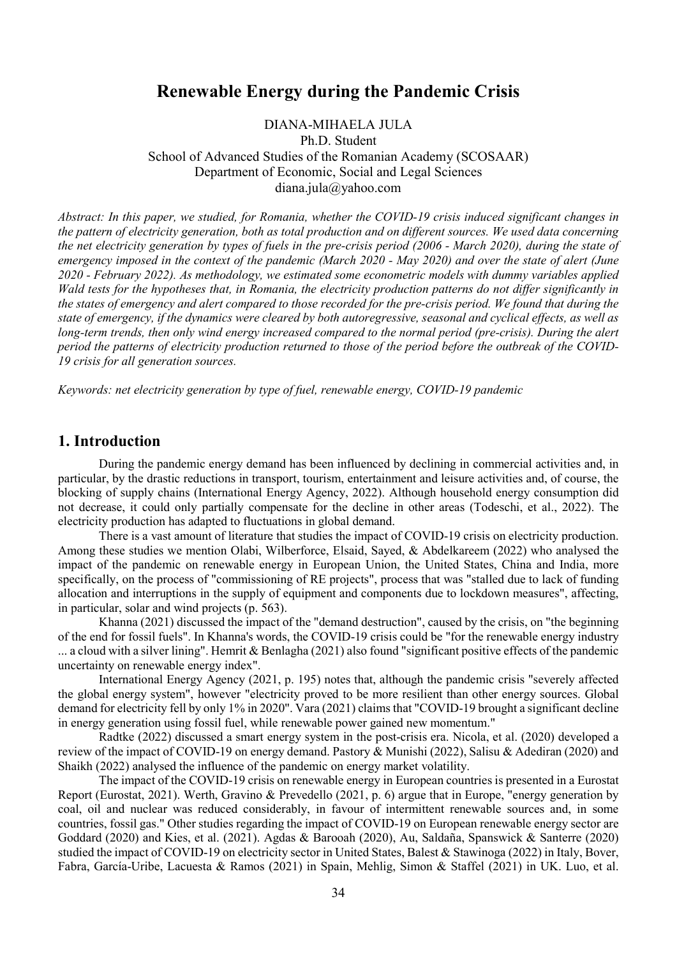# Renewable Energy during the Pandemic Crisis

DIANA-MIHAELA JULA Ph.D. Student School of Advanced Studies of the Romanian Academy (SCOSAAR) Department of Economic, Social and Legal Sciences diana.jula@yahoo.com

Abstract: In this paper, we studied, for Romania, whether the COVID-19 crisis induced significant changes in the pattern of electricity generation, both as total production and on different sources. We used data concerning the net electricity generation by types of fuels in the pre-crisis period (2006 - March 2020), during the state of emergency imposed in the context of the pandemic (March 2020 - May 2020) and over the state of alert (June 2020 - February 2022). As methodology, we estimated some econometric models with dummy variables applied Wald tests for the hypotheses that, in Romania, the electricity production patterns do not differ significantly in the states of emergency and alert compared to those recorded for the pre-crisis period. We found that during the state of emergency, if the dynamics were cleared by both autoregressive, seasonal and cyclical effects, as well as long-term trends, then only wind energy increased compared to the normal period (pre-crisis). During the alert period the patterns of electricity production returned to those of the period before the outbreak of the COVID-19 crisis for all generation sources.

Keywords: net electricity generation by type of fuel, renewable energy, COVID-19 pandemic

## 1. Introduction

 During the pandemic energy demand has been influenced by declining in commercial activities and, in particular, by the drastic reductions in transport, tourism, entertainment and leisure activities and, of course, the blocking of supply chains (International Energy Agency, 2022). Although household energy consumption did not decrease, it could only partially compensate for the decline in other areas (Todeschi, et al., 2022). The electricity production has adapted to fluctuations in global demand.

 There is a vast amount of literature that studies the impact of COVID-19 crisis on electricity production. Among these studies we mention Olabi, Wilberforce, Elsaid, Sayed, & Abdelkareem (2022) who analysed the impact of the pandemic on renewable energy in European Union, the United States, China and India, more specifically, on the process of "commissioning of RE projects", process that was "stalled due to lack of funding allocation and interruptions in the supply of equipment and components due to lockdown measures", affecting, in particular, solar and wind projects (p. 563).

 Khanna (2021) discussed the impact of the "demand destruction", caused by the crisis, on "the beginning of the end for fossil fuels". In Khanna's words, the COVID-19 crisis could be "for the renewable energy industry ... a cloud with a silver lining". Hemrit & Benlagha (2021) also found "significant positive effects of the pandemic uncertainty on renewable energy index".

 International Energy Agency (2021, p. 195) notes that, although the pandemic crisis "severely affected the global energy system", however "electricity proved to be more resilient than other energy sources. Global demand for electricity fell by only 1% in 2020". Vara (2021) claims that "COVID-19 brought a significant decline in energy generation using fossil fuel, while renewable power gained new momentum."

 Radtke (2022) discussed a smart energy system in the post-crisis era. Nicola, et al. (2020) developed a review of the impact of COVID-19 on energy demand. Pastory & Munishi (2022), Salisu & Adediran (2020) and Shaikh (2022) analysed the influence of the pandemic on energy market volatility.

 The impact of the COVID-19 crisis on renewable energy in European countries is presented in a Eurostat Report (Eurostat, 2021). Werth, Gravino & Prevedello (2021, p. 6) argue that in Europe, "energy generation by coal, oil and nuclear was reduced considerably, in favour of intermittent renewable sources and, in some countries, fossil gas." Other studies regarding the impact of COVID-19 on European renewable energy sector are Goddard (2020) and Kies, et al. (2021). Agdas & Barooah (2020), Au, Saldaña, Spanswick & Santerre (2020) studied the impact of COVID-19 on electricity sector in United States, Balest & Stawinoga (2022) in Italy, Bover, Fabra, García-Uribe, Lacuesta & Ramos (2021) in Spain, Mehlig, Simon & Staffel (2021) in UK. Luo, et al.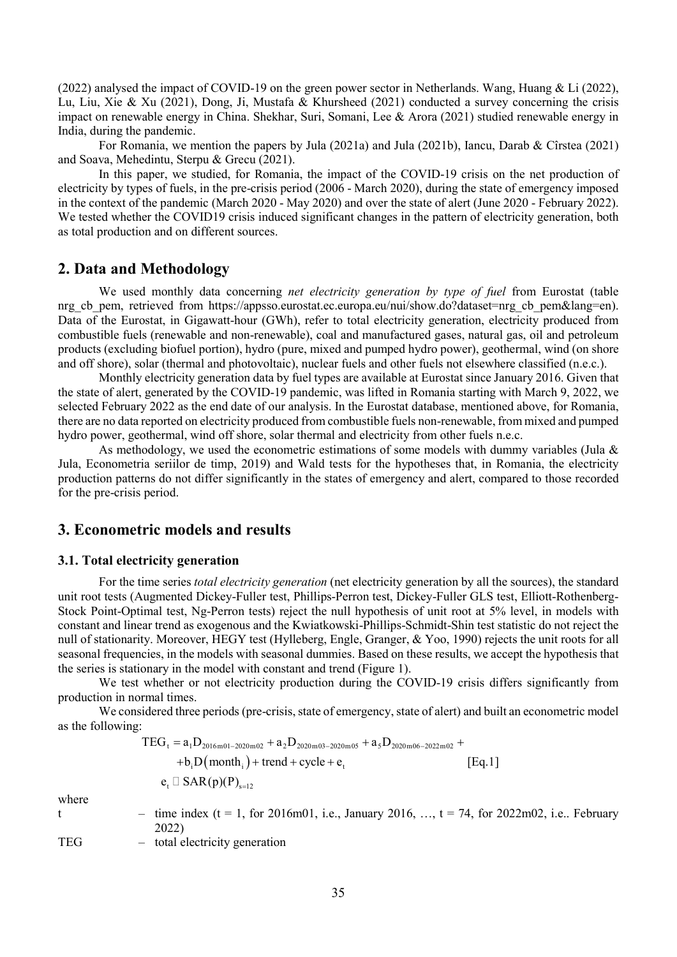(2022) analysed the impact of COVID-19 on the green power sector in Netherlands. Wang, Huang & Li (2022), Lu, Liu, Xie & Xu (2021), Dong, Ji, Mustafa & Khursheed (2021) conducted a survey concerning the crisis impact on renewable energy in China. Shekhar, Suri, Somani, Lee & Arora (2021) studied renewable energy in India, during the pandemic.

 For Romania, we mention the papers by Jula (2021a) and Jula (2021b), Iancu, Darab & Cîrstea (2021) and Soava, Mehedintu, Sterpu & Grecu (2021).

 In this paper, we studied, for Romania, the impact of the COVID-19 crisis on the net production of electricity by types of fuels, in the pre-crisis period (2006 - March 2020), during the state of emergency imposed in the context of the pandemic (March 2020 - May 2020) and over the state of alert (June 2020 - February 2022). We tested whether the COVID19 crisis induced significant changes in the pattern of electricity generation, both as total production and on different sources.

## 2. Data and Methodology

We used monthly data concerning net electricity generation by type of fuel from Eurostat (table nrg cb pem, retrieved from https://appsso.eurostat.ec.europa.eu/nui/show.do?dataset=nrg\_cb\_pem&lang=en). Data of the Eurostat, in Gigawatt-hour (GWh), refer to total electricity generation, electricity produced from combustible fuels (renewable and non-renewable), coal and manufactured gases, natural gas, oil and petroleum products (excluding biofuel portion), hydro (pure, mixed and pumped hydro power), geothermal, wind (on shore and off shore), solar (thermal and photovoltaic), nuclear fuels and other fuels not elsewhere classified (n.e.c.).

 Monthly electricity generation data by fuel types are available at Eurostat since January 2016. Given that the state of alert, generated by the COVID-19 pandemic, was lifted in Romania starting with March 9, 2022, we selected February 2022 as the end date of our analysis. In the Eurostat database, mentioned above, for Romania, there are no data reported on electricity produced from combustible fuels non-renewable, from mixed and pumped hydro power, geothermal, wind off shore, solar thermal and electricity from other fuels n.e.c.

As methodology, we used the econometric estimations of some models with dummy variables (Jula  $\&$ Jula, Econometria seriilor de timp, 2019) and Wald tests for the hypotheses that, in Romania, the electricity production patterns do not differ significantly in the states of emergency and alert, compared to those recorded for the pre-crisis period.

## 3. Econometric models and results

### 3.1. Total electricity generation

For the time series total electricity generation (net electricity generation by all the sources), the standard unit root tests (Augmented Dickey-Fuller test, Phillips-Perron test, Dickey-Fuller GLS test, Elliott-Rothenberg-Stock Point-Optimal test, Ng-Perron tests) reject the null hypothesis of unit root at 5% level, in models with constant and linear trend as exogenous and the Kwiatkowski-Phillips-Schmidt-Shin test statistic do not reject the null of stationarity. Moreover, HEGY test (Hylleberg, Engle, Granger, & Yoo, 1990) rejects the unit roots for all seasonal frequencies, in the models with seasonal dummies. Based on these results, we accept the hypothesis that the series is stationary in the model with constant and trend (Figure 1). bula, Econometria seruito de tump, 2019) and Wald tests for the hypotheses that, in Romania, the electricity<br>production patterns do not differ significantly in the states of emergency and alert, compared to those recorde

 We test whether or not electricity production during the COVID-19 crisis differs significantly from production in normal times.

We considered three periods (pre-crisis, state of emergency, state of alert) and built an econometric model as the following:

$$
\begin{aligned} TEG_{t}&=a_{1}D_{2016m01-2020m02}+a_{2}D_{2020m03-2020m05}+a_{5}D_{2020m06-2022m02}+\\ &+b_{i}D\bigl(month_{i}\bigr)+trend+cycle+e_{t} \hspace{2.5cm}\big[Eq.1\big] \\ e_{t}&\Box\ SAR(p)(P)_{s=12} \end{aligned} \hspace{0.5cm} \begin{aligned} \end{aligned} \hspace{0.5cm} \begin{aligned} \end{aligned} \hspace{0.5cm}+\begin{aligned} R_{5}D_{2020m06-2022m02}+R_{5}D_{2020m06-202m02}\big] \end{aligned}
$$

where

- t time index  $(t = 1, for 2016m01, i.e., January 2016, ..., t = 74, for 2022m02, i.e., February)$ 2022)
- TEG total electricity generation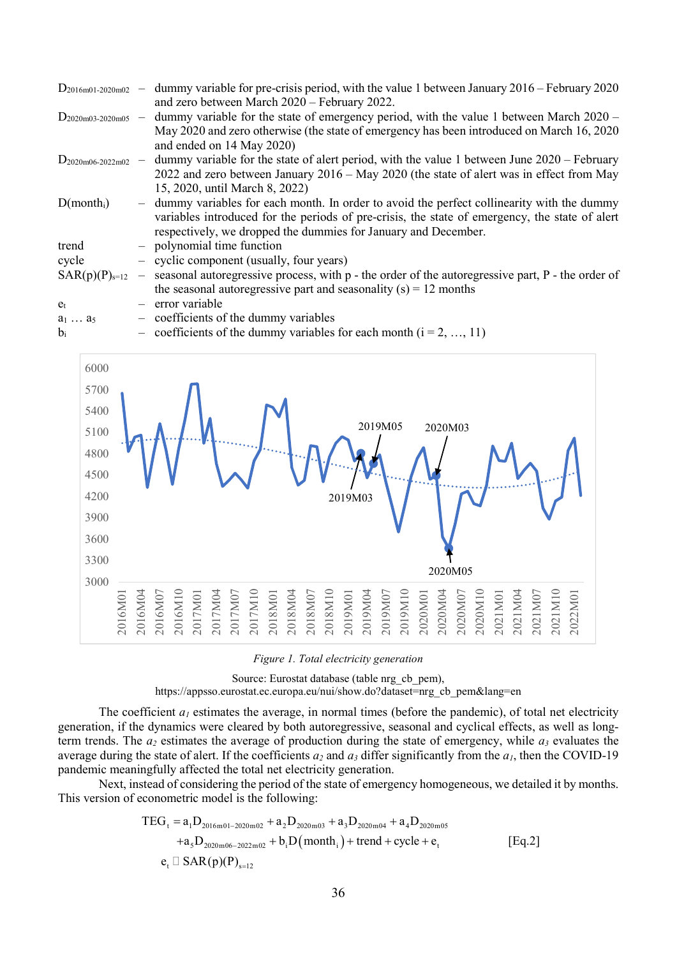| $D_{2016m01-2020m02}$ – |       | dummy variable for pre-crisis period, with the value 1 between January 2016 – February 2020                           |
|-------------------------|-------|-----------------------------------------------------------------------------------------------------------------------|
|                         |       | and zero between March 2020 – February 2022.                                                                          |
| $D_{2020m03-2020m05}$ - |       | dummy variable for the state of emergency period, with the value 1 between March $2020 -$                             |
|                         |       | May 2020 and zero otherwise (the state of emergency has been introduced on March 16, 2020)                            |
|                         |       | and ended on 14 May 2020)                                                                                             |
| $D_{2020m06-2022m02}$ – |       | dummy variable for the state of alert period, with the value 1 between June $2020$ – February                         |
|                         |       | 2022 and zero between January $2016 -$ May 2020 (the state of alert was in effect from May                            |
|                         |       | 15, 2020, until March 8, 2022)                                                                                        |
| D(month <sub>i</sub> )  | $ \,$ | dummy variables for each month. In order to avoid the perfect collinearity with the dummy                             |
|                         |       | variables introduced for the periods of pre-crisis, the state of emergency, the state of alert                        |
|                         |       | respectively, we dropped the dummies for January and December.                                                        |
| trend                   |       | - polynomial time function                                                                                            |
| cycle                   |       | - cyclic component (usually, four years)                                                                              |
|                         |       | $SAR(p)(P)_{s=12}$ – seasonal autoregressive process, with p - the order of the autoregressive part, P - the order of |
|                         |       | the seasonal autoregressive part and seasonality $(s) = 12$ months                                                    |
| $e_t$                   |       | $-$ error variable                                                                                                    |
| $a_1  a_5$              |       | $-$ coefficients of the dummy variables                                                                               |
| $b_i$                   |       | - coefficients of the dummy variables for each month $(i = 2, , 11)$                                                  |



Figure 1. Total electricity generation

Source: Eurostat database (table nrg\_cb\_pem),

https://appsso.eurostat.ec.europa.eu/nui/show.do?dataset=nrg\_cb\_pem&lang=en

The coefficient  $a_1$  estimates the average, in normal times (before the pandemic), of total net electricity generation, if the dynamics were cleared by both autoregressive, seasonal and cyclical effects, as well as longterm trends. The  $a_2$  estimates the average of production during the state of emergency, while  $a_3$  evaluates the average during the state of alert. If the coefficients  $a_2$  and  $a_3$  differ significantly from the  $a_1$ , then the COVID-19 pandemic meaningfully affected the total net electricity generation.

 Next, instead of considering the period of the state of emergency homogeneous, we detailed it by months. This version of econometric model is the following:

$$
TEG_{t} = a_{1}D_{2016m01-2020m02} + a_{2}D_{2020m03} + a_{3}D_{2020m04} + a_{4}D_{2020m05}
$$
  
\n
$$
+a_{5}D_{2020m06-2022m02} + b_{i}D(month_{i}) + trend + cycle + e_{t}
$$
  
\n[Eq.2]  
\n
$$
e_{t} \Box
$$
 SAR(p)(P)<sub>s=12</sub>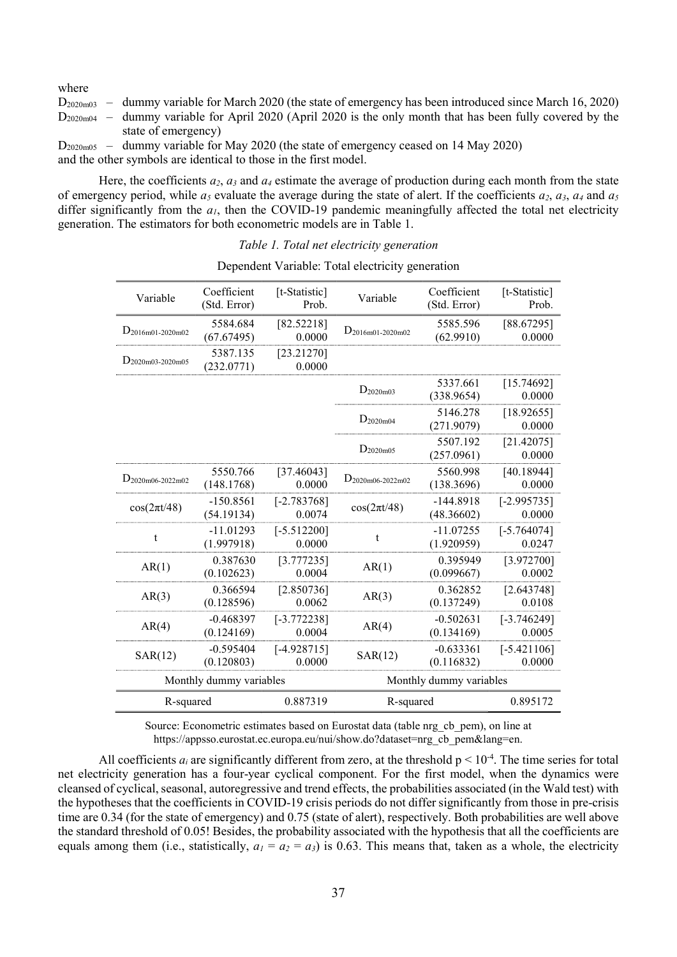where

 $D_{2020m03}$  – dummy variable for March 2020 (the state of emergency has been introduced since March 16, 2020)  $D_{2020m04}$  – dummy variable for April 2020 (April 2020 is the only month that has been fully covered by the state of emergency)

D2020m05 – dummy variable for May 2020 (the state of emergency ceased on 14 May 2020) and the other symbols are identical to those in the first model.

Here, the coefficients  $a_2$ ,  $a_3$  and  $a_4$  estimate the average of production during each month from the state of emergency period, while  $a_5$  evaluate the average during the state of alert. If the coefficients  $a_2$ ,  $a_3$ ,  $a_4$  and  $a_5$ differ significantly from the  $a<sub>1</sub>$ , then the COVID-19 pandemic meaningfully affected the total net electricity generation. The estimators for both econometric models are in Table 1.

| Variable                | Coefficient<br>(Std. Error) | [t-Statistic]<br>Prob.  | Variable                | Coefficient<br>(Std. Error) | [t-Statistic]<br>Prob.  |
|-------------------------|-----------------------------|-------------------------|-------------------------|-----------------------------|-------------------------|
| $D_{2016m01-2020m02}$   | 5584.684<br>(67.67495)      | [82.52218]<br>0.0000    | $D_{2016m01-2020m02}$   | 5585.596<br>(62.9910)       | [88.67295]<br>0.0000    |
| $D_{2020m03-2020m05}$   | 5387.135<br>(232.0771)      | [23.21270]<br>0.0000    |                         |                             |                         |
|                         |                             |                         | $D_{2020m03}$           | 5337.661<br>(338.9654)      | [15.74692]<br>0.0000    |
|                         |                             |                         | $D_{2020m04}$           | 5146.278<br>(271.9079)      | [18.92655]<br>0.0000    |
|                         |                             |                         | $D_{2020m05}$           | 5507.192<br>(257.0961)      | [21.42075]<br>0.0000    |
| $D_{2020m06-2022m02}$   | 5550.766<br>(148.1768)      | [37.46043]<br>0.0000    | $D_{2020m06-2022m02}$   | 5560.998<br>(138.3696)      | [40.18944]<br>0.0000    |
| $cos(2\pi t/48)$        | $-150.8561$<br>(54.19134)   | $[-2.783768]$<br>0.0074 | $cos(2\pi t/48)$        | $-144.8918$<br>(48.36602)   | $[-2.995735]$<br>0.0000 |
| t                       | $-11.01293$<br>(1.997918)   | $[-5.512200]$<br>0.0000 | t                       | $-11.07255$<br>(1.920959)   | $[-5.764074]$<br>0.0247 |
| AR(1)                   | 0.387630<br>(0.102623)      | [3.777235]<br>0.0004    | AR(1)                   | 0.395949<br>(0.099667)      | [3.972700]<br>0.0002    |
| AR(3)                   | 0.366594<br>(0.128596)      | [2.850736]<br>0.0062    | AR(3)                   | 0.362852<br>(0.137249)      | [2.643748]<br>0.0108    |
| AR(4)                   | $-0.468397$<br>(0.124169)   | $[-3.772238]$<br>0.0004 | AR(4)                   | $-0.502631$<br>(0.134169)   | $[-3.746249]$<br>0.0005 |
| SAR(12)                 | $-0.595404$<br>(0.120803)   | $[-4.928715]$<br>0.0000 | SAR(12)                 | $-0.633361$<br>(0.116832)   | $[-5.421106]$<br>0.0000 |
| Monthly dummy variables |                             |                         | Monthly dummy variables |                             |                         |
| 0.887319<br>R-squared   |                             |                         | R-squared               |                             | 0.895172                |

Dependent Variable: Total electricity generation

Source: Econometric estimates based on Eurostat data (table nrg\_cb\_pem), on line at https://appsso.eurostat.ec.europa.eu/nui/show.do?dataset=nrg\_cb\_pem&lang=en.

All coefficients  $a_i$  are significantly different from zero, at the threshold  $p \le 10^{-4}$ . The time series for total net electricity generation has a four-year cyclical component. For the first model, when the dynamics were cleansed of cyclical, seasonal, autoregressive and trend effects, the probabilities associated (in the Wald test) with the hypotheses that the coefficients in COVID-19 crisis periods do not differ significantly from those in pre-crisis time are 0.34 (for the state of emergency) and 0.75 (state of alert), respectively. Both probabilities are well above the standard threshold of 0.05! Besides, the probability associated with the hypothesis that all the coefficients are equals among them (i.e., statistically,  $a_1 = a_2 = a_3$ ) is 0.63. This means that, taken as a whole, the electricity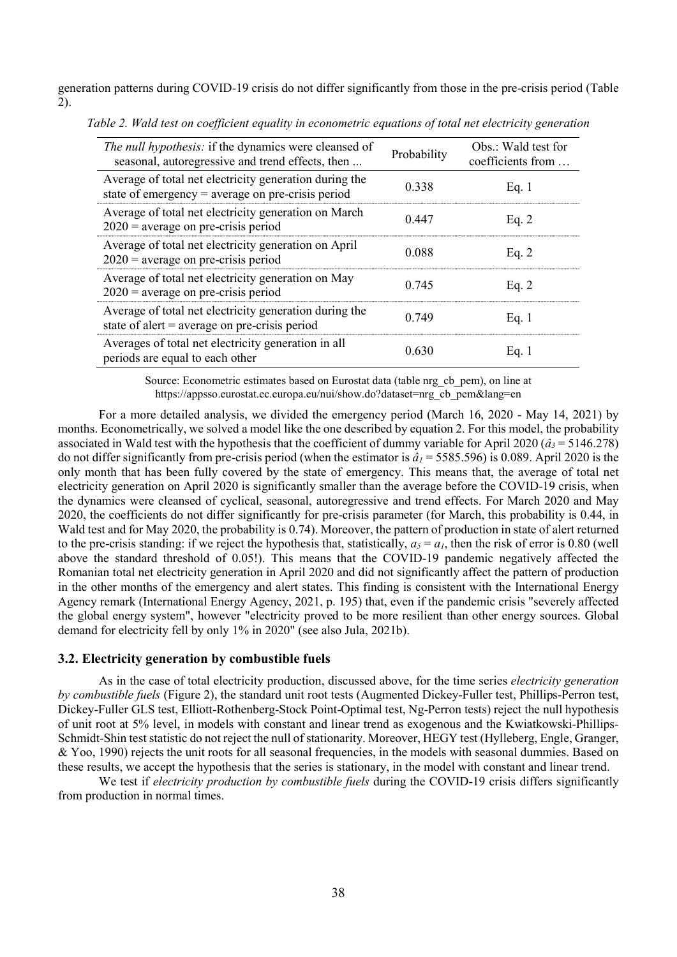generation patterns during COVID-19 crisis do not differ significantly from those in the pre-crisis period (Table 2).

| <i>The null hypothesis:</i> if the dynamics were cleansed of<br>seasonal, autoregressive and trend effects, then | Probability | Obs.: Wald test for<br>coefficients from |
|------------------------------------------------------------------------------------------------------------------|-------------|------------------------------------------|
| Average of total net electricity generation during the<br>state of emergency $=$ average on pre-crisis period    | 0.338       | Eq. $1$                                  |
| Average of total net electricity generation on March<br>$2020$ = average on pre-crisis period                    | 0.447       | Eq. $2$                                  |
| Average of total net electricity generation on April<br>$2020$ = average on pre-crisis period                    | 0.088       | Eq. $2$                                  |
| Average of total net electricity generation on May<br>$2020$ = average on pre-crisis period                      | 0.745       | Eq. $2$                                  |
| Average of total net electricity generation during the<br>state of alert = average on pre-crisis period          | 0.749       | Eq. $1$                                  |
| Averages of total net electricity generation in all<br>periods are equal to each other                           | 0.630       | Eq. 1                                    |

Table 2. Wald test on coefficient equality in econometric equations of total net electricity generation

Source: Econometric estimates based on Eurostat data (table nrg\_cb\_pem), on line at https://appsso.eurostat.ec.europa.eu/nui/show.do?dataset=nrg\_cb\_pem&lang=en

 For a more detailed analysis, we divided the emergency period (March 16, 2020 - May 14, 2021) by months. Econometrically, we solved a model like the one described by equation 2. For this model, the probability associated in Wald test with the hypothesis that the coefficient of dummy variable for April 2020 ( $\hat{a}_3$  = 5146.278) do not differ significantly from pre-crisis period (when the estimator is  $\hat{a}_1$  = 5585.596) is 0.089. April 2020 is the only month that has been fully covered by the state of emergency. This means that, the average of total net electricity generation on April 2020 is significantly smaller than the average before the COVID-19 crisis, when the dynamics were cleansed of cyclical, seasonal, autoregressive and trend effects. For March 2020 and May 2020, the coefficients do not differ significantly for pre-crisis parameter (for March, this probability is 0.44, in Wald test and for May 2020, the probability is 0.74). Moreover, the pattern of production in state of alert returned to the pre-crisis standing: if we reject the hypothesis that, statistically,  $a_5 = a_1$ , then the risk of error is 0.80 (well above the standard threshold of 0.05!). This means that the COVID-19 pandemic negatively affected the Romanian total net electricity generation in April 2020 and did not significantly affect the pattern of production in the other months of the emergency and alert states. This finding is consistent with the International Energy Agency remark (International Energy Agency, 2021, p. 195) that, even if the pandemic crisis "severely affected the global energy system", however "electricity proved to be more resilient than other energy sources. Global demand for electricity fell by only 1% in 2020" (see also Jula, 2021b).

### 3.2. Electricity generation by combustible fuels

As in the case of total electricity production, discussed above, for the time series *electricity generation* by combustible fuels (Figure 2), the standard unit root tests (Augmented Dickey-Fuller test, Phillips-Perron test, Dickey-Fuller GLS test, Elliott-Rothenberg-Stock Point-Optimal test, Ng-Perron tests) reject the null hypothesis of unit root at 5% level, in models with constant and linear trend as exogenous and the Kwiatkowski-Phillips-Schmidt-Shin test statistic do not reject the null of stationarity. Moreover, HEGY test (Hylleberg, Engle, Granger, & Yoo, 1990) rejects the unit roots for all seasonal frequencies, in the models with seasonal dummies. Based on these results, we accept the hypothesis that the series is stationary, in the model with constant and linear trend.

We test if *electricity production by combustible fuels* during the COVID-19 crisis differs significantly from production in normal times.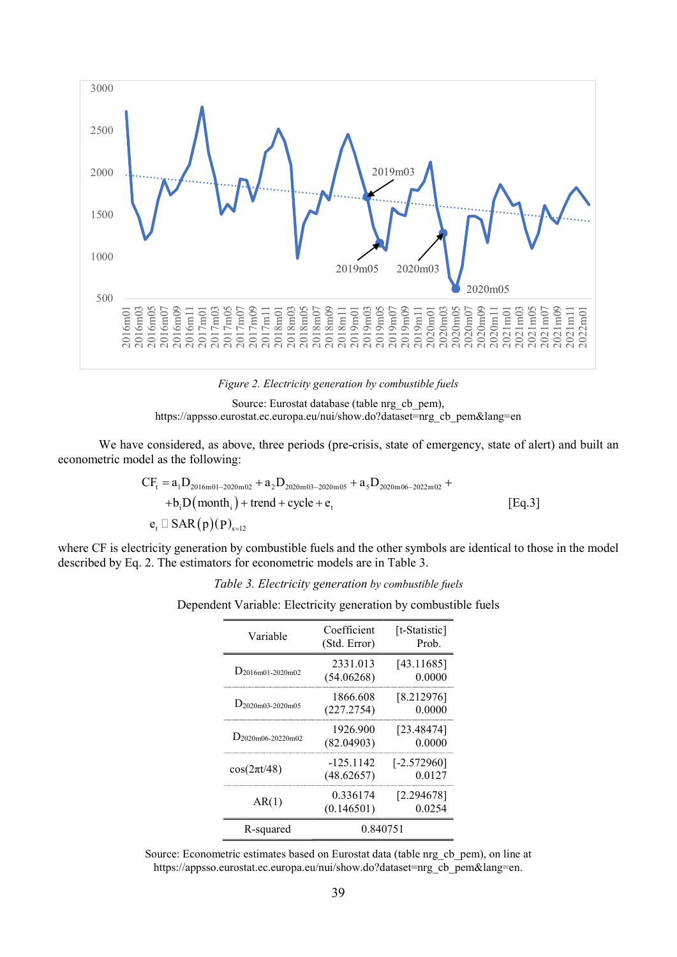

Figure 2. Electricity generation by combustible fuels



 We have considered, as above, three periods (pre-crisis, state of emergency, state of alert) and built an econometric model as the following:

$$
CF_{t} = a_{1}D_{2016m01-2020m02} + a_{2}D_{2020m03-2020m05} + a_{5}D_{2020m06-2022m02} ++ b_{i}D(month_{i}) + trend + cycle + e_{t}
$$
\n
$$
e_{t} \Box SAR(p)(P)_{s=12}
$$
\n[Eq.3]

where CF is electricity generation by combustible fuels and the other symbols are identical to those in the model described by Eq. 2. The estimators for econometric models are in Table 3.

Table 3. Electricity generation by combustible fuels

Dependent Variable: Electricity generation by combustible fuels

| Variable               | Coefficient<br>(Std. Error) | [t-Statistic]<br>Prob.  |
|------------------------|-----------------------------|-------------------------|
| $D_{2016m01-2020m02}$  | 2331.013<br>(54.06268)      | [43.11685]<br>0.0000    |
| $D_{2020m03-2020m05}$  | 1866.608<br>(227.2754)      | [8.212976]<br>0.0000    |
| $D_{2020m06-20220m02}$ | 1926.900<br>(82.04903)      | [23.48474]<br>0.0000    |
| $cos(2\pi t/48)$       | $-125.1142$<br>(48.62657)   | $[-2.572960]$<br>0.0127 |
| AR(1)                  | 0.336174<br>(0.146501)      | [2.294678]<br>0.0254    |
| R-squared              | 0.840751                    |                         |

Source: Econometric estimates based on Eurostat data (table nrg\_cb\_pem), on line at https://appsso.eurostat.ec.europa.eu/nui/show.do?dataset=nrg\_cb\_pem&lang=en.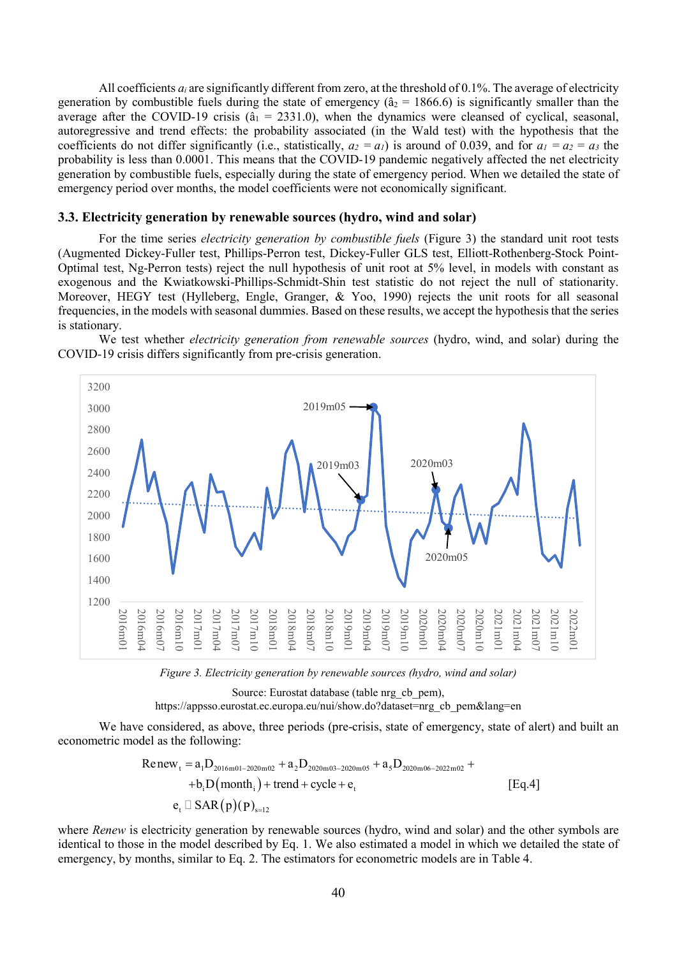All coefficients  $a_i$  are significantly different from zero, at the threshold of 0.1%. The average of electricity generation by combustible fuels during the state of emergency ( $\hat{a}_2 = 1866.6$ ) is significantly smaller than the average after the COVID-19 crisis ( $\hat{a}_1 = 2331.0$ ), when the dynamics were cleansed of cyclical, seasonal, autoregressive and trend effects: the probability associated (in the Wald test) with the hypothesis that the coefficients do not differ significantly (i.e., statistically,  $a_2 = a_1$ ) is around of 0.039, and for  $a_1 = a_2 = a_3$  the probability is less than 0.0001. This means that the COVID-19 pandemic negatively affected the net electricity generation by combustible fuels, especially during the state of emergency period. When we detailed the state of emergency period over months, the model coefficients were not economically significant.

### 3.3. Electricity generation by renewable sources (hydro, wind and solar)

 For the time series electricity generation by combustible fuels (Figure 3) the standard unit root tests (Augmented Dickey-Fuller test, Phillips-Perron test, Dickey-Fuller GLS test, Elliott-Rothenberg-Stock Point-Optimal test, Ng-Perron tests) reject the null hypothesis of unit root at 5% level, in models with constant as exogenous and the Kwiatkowski-Phillips-Schmidt-Shin test statistic do not reject the null of stationarity. Moreover, HEGY test (Hylleberg, Engle, Granger, & Yoo, 1990) rejects the unit roots for all seasonal frequencies, in the models with seasonal dummies. Based on these results, we accept the hypothesis that the series is stationary.

We test whether *electricity generation from renewable sources* (hydro, wind, and solar) during the COVID-19 crisis differs significantly from pre-crisis generation.



Figure 3. Electricity generation by renewable sources (hydro, wind and solar)

Source: Eurostat database (table nrg\_cb\_pem), https://appsso.eurostat.ec.europa.eu/nui/show.do?dataset=nrg\_cb\_pem&lang=en

 We have considered, as above, three periods (pre-crisis, state of emergency, state of alert) and built an econometric model as the following:

$$
Renew_t = a_1D_{2016m01-2020m02} + a_2D_{2020m03-2020m05} + a_5D_{2020m06-2022m02} ++ b_1D(month_1) + trend + cycle + e_t
$$
 [Eq.4]

where Renew is electricity generation by renewable sources (hydro, wind and solar) and the other symbols are identical to those in the model described by Eq. 1. We also estimated a model in which we detailed the state of emergency, by months, similar to Eq. 2. The estimators for econometric models are in Table 4.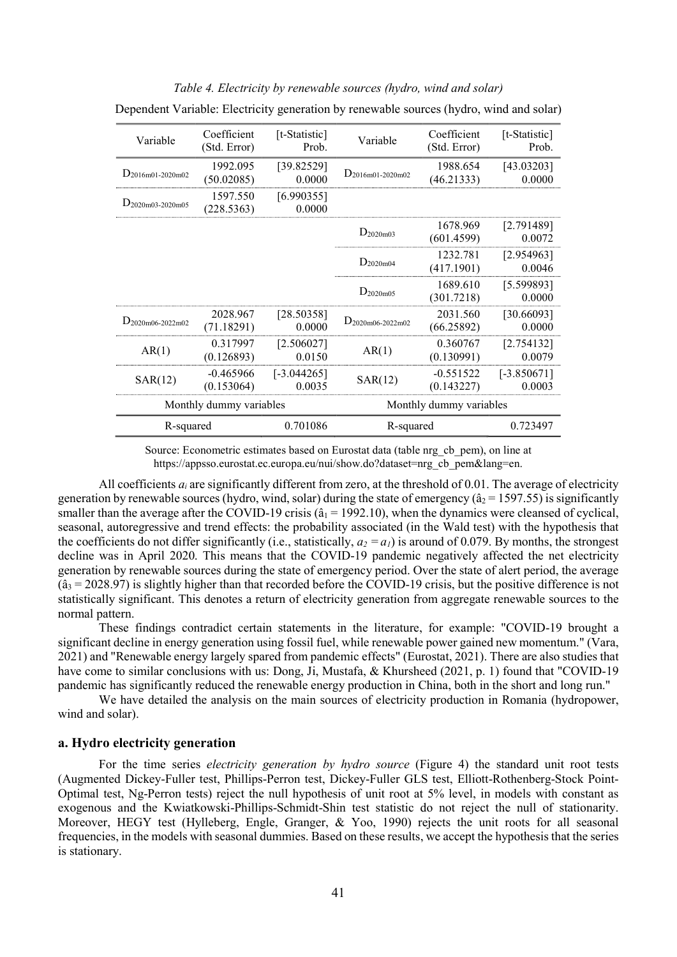| Variable                | Coefficient<br>(Std. Error) | [t-Statistic]<br>Prob.  | Variable              | Coefficient<br>(Std. Error) | [t-Statistic]<br>Prob.  |
|-------------------------|-----------------------------|-------------------------|-----------------------|-----------------------------|-------------------------|
| $D_{2016m01-2020m02}$   | 1992.095<br>(50.02085)      | [39.82529]<br>0.0000    | $D_{2016m01-2020m02}$ | 1988.654<br>(46.21333)      | [43.03203]<br>0.0000    |
| $D_{2020m03-2020m05}$   | 1597.550<br>(228.5363)      | [6.990355]<br>0.0000    |                       |                             |                         |
|                         |                             |                         | $D_{2020m03}$         | 1678.969<br>(601.4599)      | [2.791489]<br>0.0072    |
|                         |                             |                         | $D_{2020m04}$         | 1232.781<br>(417.1901)      | [2.954963]<br>0.0046    |
|                         |                             |                         | $D_{2020m05}$         | 1689.610<br>(301.7218)      | [5.599893]<br>0.0000    |
| $D_{2020m06-2022m02}$   | 2028.967<br>(71.18291)      | [28.50358]<br>0.0000    | $D_{2020m06-2022m02}$ | 2031.560<br>(66.25892)      | [30.66093]<br>0.0000    |
| AR(1)                   | 0.317997<br>(0.126893)      | [2.506027]<br>0.0150    | AR(1)                 | 0.360767<br>(0.130991)      | [2.754132]<br>0.0079    |
| SAR(12)                 | $-0.465966$<br>(0.153064)   | $[-3.044265]$<br>0.0035 | SAR(12)               | $-0.551522$<br>(0.143227)   | $[-3.850671]$<br>0.0003 |
| Monthly dummy variables |                             |                         |                       | Monthly dummy variables     |                         |
| R-squared               |                             | 0.701086                | R-squared             |                             | 0.723497                |

### Table 4. Electricity by renewable sources (hydro, wind and solar)

Dependent Variable: Electricity generation by renewable sources (hydro, wind and solar)

Source: Econometric estimates based on Eurostat data (table nrg\_cb\_pem), on line at https://appsso.eurostat.ec.europa.eu/nui/show.do?dataset=nrg\_cb\_pem&lang=en.

All coefficients  $a_i$  are significantly different from zero, at the threshold of 0.01. The average of electricity generation by renewable sources (hydro, wind, solar) during the state of emergency ( $\hat{a}_2$  = 1597.55) is significantly smaller than the average after the COVID-19 crisis ( $\hat{a}_1$  = 1992.10), when the dynamics were cleansed of cyclical, seasonal, autoregressive and trend effects: the probability associated (in the Wald test) with the hypothesis that the coefficients do not differ significantly (i.e., statistically,  $a_2 = a_1$ ) is around of 0.079. By months, the strongest decline was in April 2020. This means that the COVID-19 pandemic negatively affected the net electricity generation by renewable sources during the state of emergency period. Over the state of alert period, the average  $(\hat{a}_3 = 2028.97)$  is slightly higher than that recorded before the COVID-19 crisis, but the positive difference is not statistically significant. This denotes a return of electricity generation from aggregate renewable sources to the normal pattern.

 These findings contradict certain statements in the literature, for example: "COVID-19 brought a significant decline in energy generation using fossil fuel, while renewable power gained new momentum." (Vara, 2021) and "Renewable energy largely spared from pandemic effects" (Eurostat, 2021). There are also studies that have come to similar conclusions with us: Dong, Ji, Mustafa, & Khursheed (2021, p. 1) found that "COVID-19" pandemic has significantly reduced the renewable energy production in China, both in the short and long run."

 We have detailed the analysis on the main sources of electricity production in Romania (hydropower, wind and solar).

### a. Hydro electricity generation

For the time series *electricity generation by hydro source* (Figure 4) the standard unit root tests (Augmented Dickey-Fuller test, Phillips-Perron test, Dickey-Fuller GLS test, Elliott-Rothenberg-Stock Point-Optimal test, Ng-Perron tests) reject the null hypothesis of unit root at 5% level, in models with constant as exogenous and the Kwiatkowski-Phillips-Schmidt-Shin test statistic do not reject the null of stationarity. Moreover, HEGY test (Hylleberg, Engle, Granger, & Yoo, 1990) rejects the unit roots for all seasonal frequencies, in the models with seasonal dummies. Based on these results, we accept the hypothesis that the series is stationary.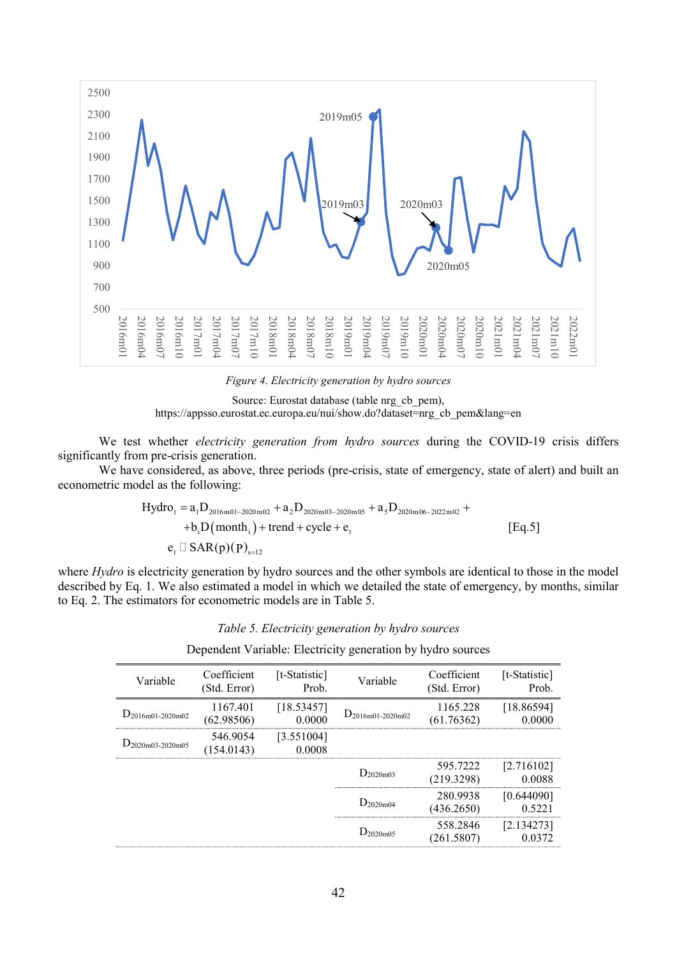

Figure 4. Electricity generation by hydro sources

Source: Eurostat database (table nrg\_cb\_pem), https://appsso.eurostat.ec.europa.eu/nui/show.do?dataset=nrg\_cb\_pem&lang=en

We test whether *electricity generation from hydro sources* during the COVID-19 crisis differs significantly from pre-crisis generation.

 We have considered, as above, three periods (pre-crisis, state of emergency, state of alert) and built an econometric model as the following:

$$
Hydro_{t} = a_{1}D_{2016m01-2020m02} + a_{2}D_{2020m03-2020m05} + a_{5}D_{2020m06-2022m02} ++ b_{i}D(month_{i}) + trend + cycle + e_{t}
$$
\n
$$
e_{t} \Box SAR(p)(P)_{s=12}
$$
\n[Eq.5]

where Hydro is electricity generation by hydro sources and the other symbols are identical to those in the model described by Eq. 1. We also estimated a model in which we detailed the state of emergency, by months, similar to Eq. 2. The estimators for econometric models are in Table 5.

|  |  |  | Dependent Variable: Electricity generation by hydro sources |
|--|--|--|-------------------------------------------------------------|
|  |  |  |                                                             |

| Variable              | Coefficient<br>(Std. Error) | [t-Statistic]<br>Prob. | Variable              | Coefficient<br>(Std. Error) | [t-Statistic]<br>Prob. |
|-----------------------|-----------------------------|------------------------|-----------------------|-----------------------------|------------------------|
| $D_{2016m01-2020m02}$ | 1167.401<br>(62.98506)      | [18.53457]<br>0.0000   | $D_{2016m01-2020m02}$ | 1165.228<br>(61.76362)      | [18.86594]<br>0.0000   |
| $D_{2020m03-2020m05}$ | 546.9054<br>(154.0143)      | [3.551004]<br>0.0008   |                       |                             |                        |
|                       |                             |                        | $D_{2020m03}$         | 595.7222<br>(219.3298)      | [2.716102]<br>0.0088   |
|                       |                             |                        | $D_{2020m04}$         | 280.9938<br>(436.2650)      | [0.644090]<br>0.5221   |
|                       |                             |                        | $D_{2020m05}$         | 558.2846<br>(261.5807)      | [2.134273]             |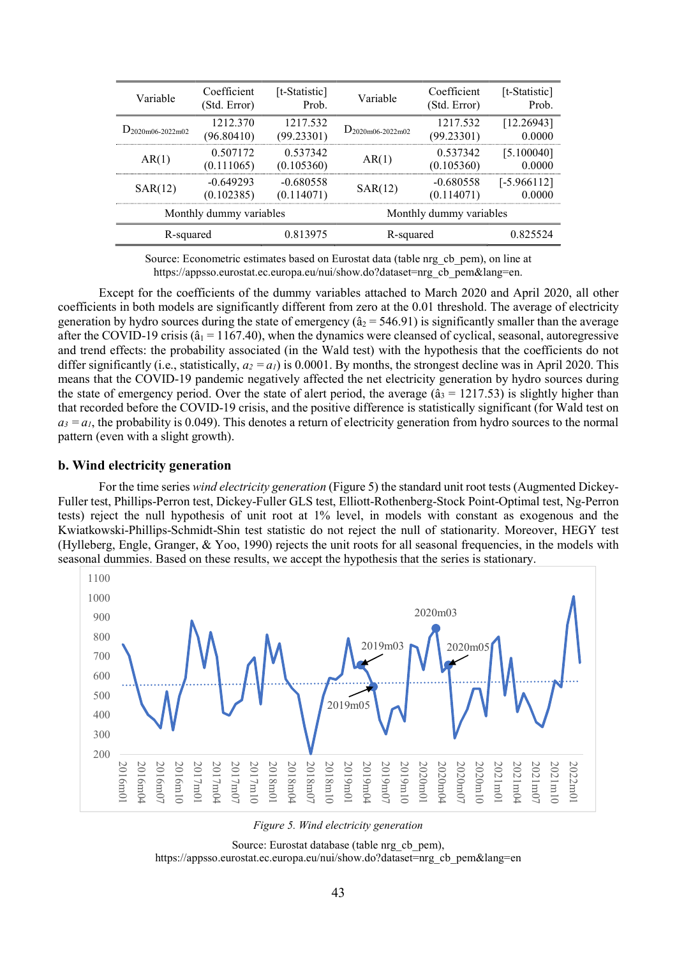| Variable                | Coefficient<br>(Std. Error) | [t-Statistic]<br>Prob.    | Variable              | Coefficient<br>(Std. Error) | [t-Statistic]<br>Prob.  |
|-------------------------|-----------------------------|---------------------------|-----------------------|-----------------------------|-------------------------|
| $D_{2020m06-2022m02}$   | 1212.370<br>(96.80410)      | 1217.532<br>(99.23301)    | $D_{2020m06-2022m02}$ | 1217.532<br>(99.23301)      | [12.26943]<br>0.0000    |
| AR(1)                   | 0.507172<br>(0.111065)      | 0.537342<br>(0.105360)    | AR(1)                 | 0.537342<br>(0.105360)      | [5.100040]<br>0.0000    |
| SAR(12)                 | $-0.649293$<br>(0.102385)   | $-0.680558$<br>(0.114071) | SAR(12)               | $-0.680558$<br>(0.114071)   | $[-5.966112]$<br>0.0000 |
| Monthly dummy variables |                             |                           |                       | Monthly dummy variables     |                         |
| R-squared               |                             | 0.813975                  | R-squared             |                             | 0.825524                |
|                         |                             |                           |                       |                             |                         |

Source: Econometric estimates based on Eurostat data (table nrg\_cb\_pem), on line at https://appsso.eurostat.ec.europa.eu/nui/show.do?dataset=nrg\_cb\_pem&lang=en.

 Except for the coefficients of the dummy variables attached to March 2020 and April 2020, all other coefficients in both models are significantly different from zero at the 0.01 threshold. The average of electricity generation by hydro sources during the state of emergency ( $\hat{a}_2$  = 546.91) is significantly smaller than the average after the COVID-19 crisis ( $\hat{a}_1$  = 1167.40), when the dynamics were cleansed of cyclical, seasonal, autoregressive and trend effects: the probability associated (in the Wald test) with the hypothesis that the coefficients do not differ significantly (i.e., statistically,  $a_2 = a_1$ ) is 0.0001. By months, the strongest decline was in April 2020. This means that the COVID-19 pandemic negatively affected the net electricity generation by hydro sources during the state of emergency period. Over the state of alert period, the average  $(\hat{a}_3 = 1217.53)$  is slightly higher than that recorded before the COVID-19 crisis, and the positive difference is statistically significant (for Wald test on  $a_3 = a_1$ , the probability is 0.049). This denotes a return of electricity generation from hydro sources to the normal pattern (even with a slight growth).

### b. Wind electricity generation

For the time series wind electricity generation (Figure 5) the standard unit root tests (Augmented Dickey-Fuller test, Phillips-Perron test, Dickey-Fuller GLS test, Elliott-Rothenberg-Stock Point-Optimal test, Ng-Perron tests) reject the null hypothesis of unit root at 1% level, in models with constant as exogenous and the Kwiatkowski-Phillips-Schmidt-Shin test statistic do not reject the null of stationarity. Moreover, HEGY test (Hylleberg, Engle, Granger, & Yoo, 1990) rejects the unit roots for all seasonal frequencies, in the models with seasonal dummies. Based on these results, we accept the hypothesis that the series is stationary.



Figure 5. Wind electricity generation

Source: Eurostat database (table nrg\_cb\_pem), https://appsso.eurostat.ec.europa.eu/nui/show.do?dataset=nrg\_cb\_pem&lang=en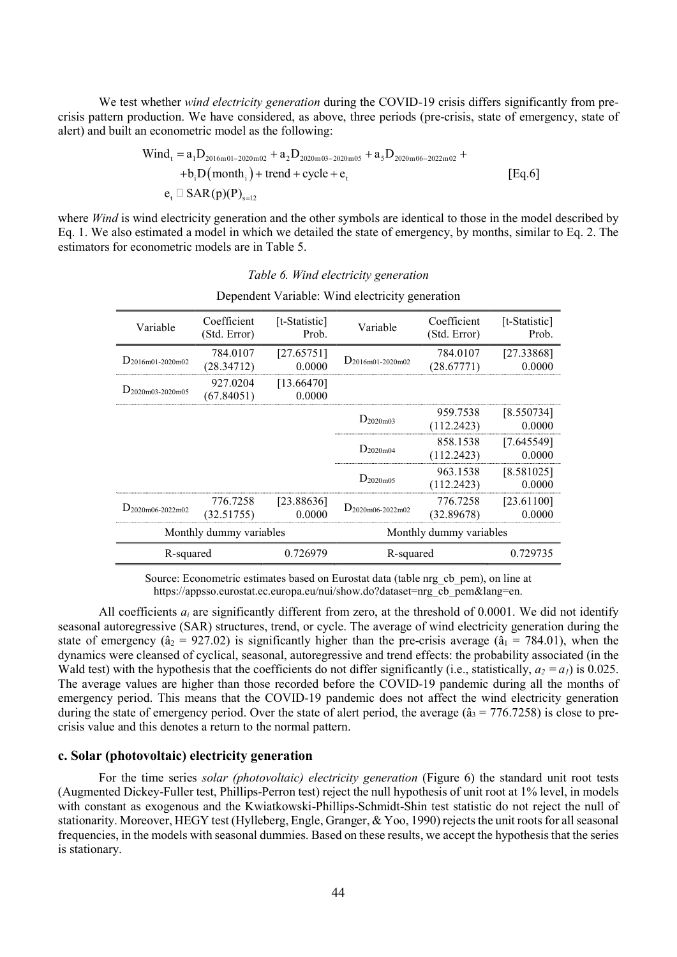We test whether *wind electricity generation* during the COVID-19 crisis differs significantly from precrisis pattern production. We have considered, as above, three periods (pre-crisis, state of emergency, state of alert) and built an econometric model as the following:

We test whether *wind electricity generation* during the COVID-19 crisis differs significantly from prec-  
crisis pattern production. We have considered, as above, three periods (pre-crisis, state of emergency, state of  
alert) and built an econometric model as the following:  
\n
$$
\begin{aligned}\n\text{Wind}_t &= a_1 D_{2016 \text{m01}-2020 \text{m02}} + a_2 D_{2020 \text{m03}-2020 \text{m05}} + a_3 D_{2020 \text{m06}-2022 \text{m02}} + \\
&\quad + b_i D \text{(month}_i) + \text{trend} + \text{cycle} + e_t \\
&\quad e_t \Box \text{ SAR}(p) (P)_{s=12}\n\end{aligned}
$$
\nwhere *Wind* is wind electricity generation and the other symbols are identical to those in the model described by  
\nEq. 1. We also estimated a model in which we detailed the state of emergency, by months, similar to Eq. 2. The

where *Wind* is wind electricity generation and the other symbols are identical to those in the model described by Eq. 1. We also estimated a model in which we detailed the state of emergency, by months, similar to Eq. 2. The estimators for econometric models are in Table 5.

#### Table 6. Wind electricity generation

| Variable                | Coefficient<br>(Std. Error) | [t-Statistic]<br>Prob. | Variable                | Coefficient<br>(Std. Error) | [t-Statistic]<br>Prob. |
|-------------------------|-----------------------------|------------------------|-------------------------|-----------------------------|------------------------|
| $D_{2016m01-2020m02}$   | 784.0107<br>(28.34712)      | [27.65751]<br>0.0000   | $D_{2016m01-2020m02}$   | 784.0107<br>(28.67771)      | [27.33868]<br>0.0000   |
| $D_{2020m03-2020m05}$   | 927.0204<br>(67.84051)      | [13.66470]<br>0.0000   |                         |                             |                        |
|                         |                             |                        | $D_{2020m03}$           | 959.7538<br>(112.2423)      | [8.550734]<br>0.0000   |
|                         |                             |                        | $D_{2020m04}$           | 858.1538<br>(112.2423)      | [7.645549]<br>0.0000   |
|                         |                             |                        | $D_{2020m05}$           | 963.1538<br>(112.2423)      | [8.581025]<br>0.0000   |
| $D_{2020m06-2022m02}$   | 776.7258<br>(32.51755)      | [23.88636]<br>0.0000   | $D_{2020m06-2022m02}$   | 776.7258<br>(32.89678)      | [23.61100]<br>0.0000   |
| Monthly dummy variables |                             |                        | Monthly dummy variables |                             |                        |
| R-squared               |                             | 0.726979               | R-squared               |                             | 0.729735               |

#### Dependent Variable: Wind electricity generation

Source: Econometric estimates based on Eurostat data (table nrg\_cb\_pem), on line at https://appsso.eurostat.ec.europa.eu/nui/show.do?dataset=nrg\_cb\_pem&lang=en.

All coefficients  $a_i$  are significantly different from zero, at the threshold of 0.0001. We did not identify seasonal autoregressive (SAR) structures, trend, or cycle. The average of wind electricity generation during the state of emergency ( $\hat{a}_2 = 927.02$ ) is significantly higher than the pre-crisis average ( $\hat{a}_1 = 784.01$ ), when the dynamics were cleansed of cyclical, seasonal, autoregressive and trend effects: the probability associated (in the Wald test) with the hypothesis that the coefficients do not differ significantly (i.e., statistically,  $a_2 = a_1$ ) is 0.025. The average values are higher than those recorded before the COVID-19 pandemic during all the months of emergency period. This means that the COVID-19 pandemic does not affect the wind electricity generation during the state of emergency period. Over the state of alert period, the average  $(\hat{a}_3 = 776.7258)$  is close to precrisis value and this denotes a return to the normal pattern.

### c. Solar (photovoltaic) electricity generation

For the time series *solar (photovoltaic) electricity generation* (Figure 6) the standard unit root tests (Augmented Dickey-Fuller test, Phillips-Perron test) reject the null hypothesis of unit root at 1% level, in models with constant as exogenous and the Kwiatkowski-Phillips-Schmidt-Shin test statistic do not reject the null of stationarity. Moreover, HEGY test (Hylleberg, Engle, Granger, & Yoo, 1990) rejects the unit roots for all seasonal frequencies, in the models with seasonal dummies. Based on these results, we accept the hypothesis that the series is stationary.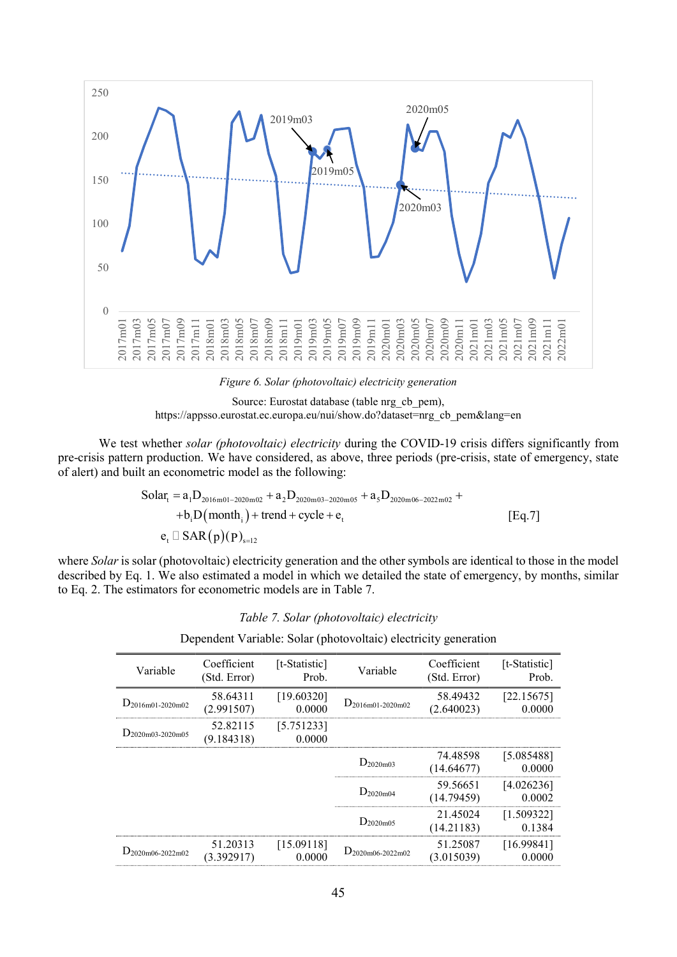

Figure 6. Solar (photovoltaic) electricity generation



We test whether solar (photovoltaic) electricity during the COVID-19 crisis differs significantly from pre-crisis pattern production. We have considered, as above, three periods (pre-crisis, state of emergency, state of alert) and built an econometric model as the following:

$$
Solar_{t} = a_{1}D_{2016m01-2020m02} + a_{2}D_{2020m03-2020m05} + a_{5}D_{2020m06-2022m02} ++ b_{i}D(month_{i}) + trend + cycle + e_{t}
$$
\n
$$
e_{t} \Box SAR(p)(P)_{s=12}
$$
\n[Eq.7]

where *Solar* is solar (photovoltaic) electricity generation and the other symbols are identical to those in the model described by Eq. 1. We also estimated a model in which we detailed the state of emergency, by months, similar to Eq. 2. The estimators for econometric models are in Table 7.

Table 7. Solar (photovoltaic) electricity

Dependent Variable: Solar (photovoltaic) electricity generation

| Variable              | Coefficient<br>(Std. Error) | [t-Statistic]<br>Prob. | Variable              | Coefficient<br>(Std. Error) | [t-Statistic]<br>Prob. |
|-----------------------|-----------------------------|------------------------|-----------------------|-----------------------------|------------------------|
| $D_{2016m01-2020m02}$ | 58.64311<br>(2.991507)      | [19.60320]<br>0.0000   | $D_{2016m01-2020m02}$ | 58.49432<br>(2.640023)      | [22.15675]<br>0.0000   |
| $D_{2020m03-2020m05}$ | 52.82115<br>(9.184318)      | [5.751233]<br>0.0000   |                       |                             |                        |
|                       |                             |                        | $D_{2020m03}$         | 74.48598<br>(14.64677)      | [5.085488]<br>0.0000   |
|                       |                             |                        | $D_{2020m04}$         | 59.56651<br>(14.79459)      | [4.026236]<br>0.0002   |
|                       |                             |                        | $D_{2020m05}$         | 21.45024<br>(14.21183)      | [1.509322]<br>0.1384   |
| $D_{2020m06-2022m02}$ | 51.20313<br>(3.392917)      | [15.09118]<br>0.0000   | $D_{2020m06-2022m02}$ | 51.25087<br>(3.015039)      | [16.99841]<br>0.0000   |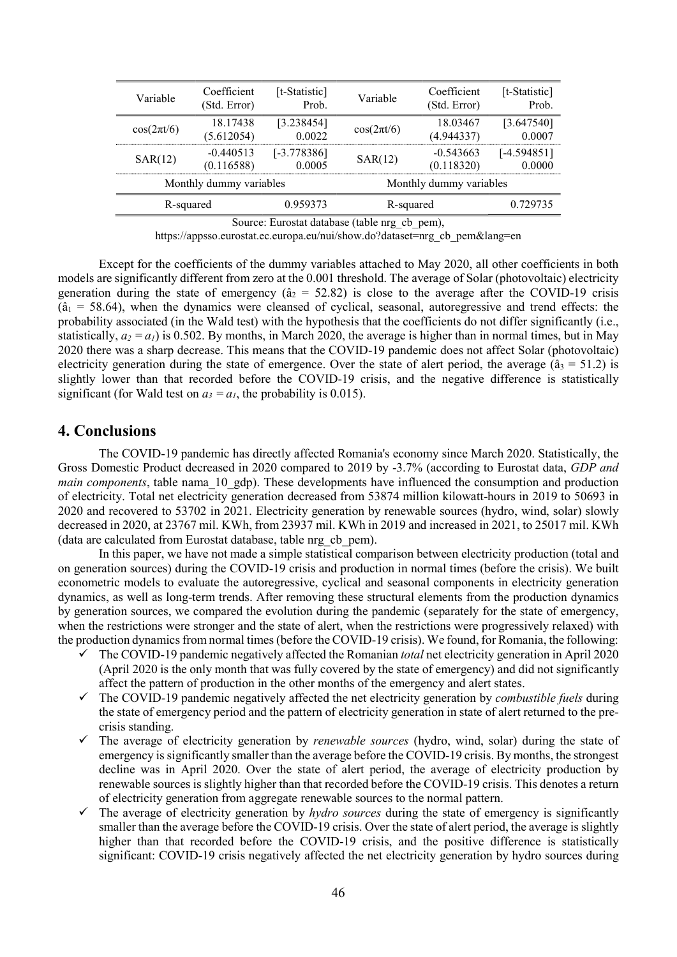| Variable                | Coefficient<br>(Std. Error) | [t-Statistic]<br>Prob.  | Variable                | Coefficient<br>(Std. Error) | [t-Statistic]<br>Prob.  |
|-------------------------|-----------------------------|-------------------------|-------------------------|-----------------------------|-------------------------|
| $cos(2\pi t/6)$         | 18.17438<br>(5.612054)      | [3.238454]<br>0.0022    | $cos(2\pi t/6)$         | 18.03467<br>(4.944337)      | [3.647540]<br>0.0007    |
| SAR(12)                 | $-0.440513$<br>(0.116588)   | $[-3.778386]$<br>0.0005 | SAR(12)                 | $-0.543663$<br>(0.118320)   | $[-4.594851]$<br>0.0000 |
| Monthly dummy variables |                             |                         | Monthly dummy variables |                             |                         |
| R-squared               |                             | 0.959373                | R-squared               |                             | 0.729735                |

Source: Eurostat database (table nrg\_cb\_pem),

https://appsso.eurostat.ec.europa.eu/nui/show.do?dataset=nrg\_cb\_pem&lang=en

 Except for the coefficients of the dummy variables attached to May 2020, all other coefficients in both models are significantly different from zero at the 0.001 threshold. The average of Solar (photovoltaic) electricity generation during the state of emergency ( $\hat{a}_2 = 52.82$ ) is close to the average after the COVID-19 crisis  $(a<sub>1</sub> = 58.64)$ , when the dynamics were cleansed of cyclical, seasonal, autoregressive and trend effects: the probability associated (in the Wald test) with the hypothesis that the coefficients do not differ significantly (i.e., statistically,  $a_2 = a_1$ ) is 0.502. By months, in March 2020, the average is higher than in normal times, but in May 2020 there was a sharp decrease. This means that the COVID-19 pandemic does not affect Solar (photovoltaic) electricity generation during the state of emergence. Over the state of alert period, the average ( $\hat{a}_3 = 51.2$ ) is slightly lower than that recorded before the COVID-19 crisis, and the negative difference is statistically significant (for Wald test on  $a_3 = a_1$ , the probability is 0.015).

## 4. Conclusions

 The COVID-19 pandemic has directly affected Romania's economy since March 2020. Statistically, the Gross Domestic Product decreased in 2020 compared to 2019 by -3.7% (according to Eurostat data, GDP and main components, table nama 10 gdp). These developments have influenced the consumption and production of electricity. Total net electricity generation decreased from 53874 million kilowatt-hours in 2019 to 50693 in 2020 and recovered to 53702 in 2021. Electricity generation by renewable sources (hydro, wind, solar) slowly decreased in 2020, at 23767 mil. KWh, from 23937 mil. KWh in 2019 and increased in 2021, to 25017 mil. KWh (data are calculated from Eurostat database, table nrg\_cb\_pem).

 In this paper, we have not made a simple statistical comparison between electricity production (total and on generation sources) during the COVID-19 crisis and production in normal times (before the crisis). We built econometric models to evaluate the autoregressive, cyclical and seasonal components in electricity generation dynamics, as well as long-term trends. After removing these structural elements from the production dynamics by generation sources, we compared the evolution during the pandemic (separately for the state of emergency, when the restrictions were stronger and the state of alert, when the restrictions were progressively relaxed) with the production dynamics from normal times (before the COVID-19 crisis). We found, for Romania, the following:

- $\checkmark$  The COVID-19 pandemic negatively affected the Romanian *total* net electricity generation in April 2020 (April 2020 is the only month that was fully covered by the state of emergency) and did not significantly affect the pattern of production in the other months of the emergency and alert states.
- $\checkmark$  The COVID-19 pandemic negatively affected the net electricity generation by *combustible fuels* during the state of emergency period and the pattern of electricity generation in state of alert returned to the precrisis standing.
- $\checkmark$  The average of electricity generation by *renewable sources* (hydro, wind, solar) during the state of emergency is significantly smaller than the average before the COVID-19 crisis. By months, the strongest decline was in April 2020. Over the state of alert period, the average of electricity production by renewable sources is slightly higher than that recorded before the COVID-19 crisis. This denotes a return of electricity generation from aggregate renewable sources to the normal pattern.
- $\checkmark$  The average of electricity generation by *hydro sources* during the state of emergency is significantly smaller than the average before the COVID-19 crisis. Over the state of alert period, the average is slightly higher than that recorded before the COVID-19 crisis, and the positive difference is statistically significant: COVID-19 crisis negatively affected the net electricity generation by hydro sources during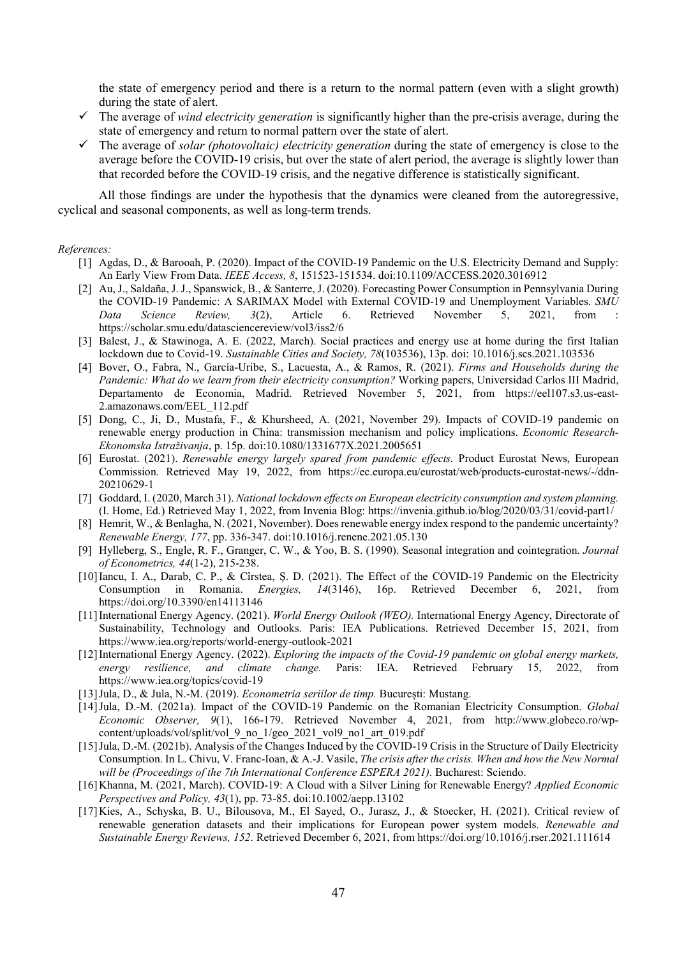the state of emergency period and there is a return to the normal pattern (even with a slight growth) during the state of alert.

- $\checkmark$  The average of *wind electricity generation* is significantly higher than the pre-crisis average, during the state of emergency and return to normal pattern over the state of alert.
- The average of solar (photovoltaic) electricity generation during the state of emergency is close to the average before the COVID-19 crisis, but over the state of alert period, the average is slightly lower than that recorded before the COVID-19 crisis, and the negative difference is statistically significant.

 All those findings are under the hypothesis that the dynamics were cleaned from the autoregressive, cyclical and seasonal components, as well as long-term trends.

#### References:

- [1] Agdas, D., & Barooah, P. (2020). Impact of the COVID-19 Pandemic on the U.S. Electricity Demand and Supply: An Early View From Data. IEEE Access, 8, 151523-151534. doi:10.1109/ACCESS.2020.3016912
- [2] Au, J., Saldaña, J. J., Spanswick, B., & Santerre, J. (2020). Forecasting Power Consumption in Pennsylvania During the COVID-19 Pandemic: A SARIMAX Model with External COVID-19 and Unemployment Variables. SMU Data Science Review, 3(2), Article 6. Retrieved November 5, 2021, from : https://scholar.smu.edu/datasciencereview/vol3/iss2/6
- [3] Balest, J., & Stawinoga, A. E. (2022, March). Social practices and energy use at home during the first Italian lockdown due to Covid-19. Sustainable Cities and Society, 78(103536), 13p. doi: 10.1016/j.scs.2021.103536
- [4] Bover, O., Fabra, N., García-Uribe, S., Lacuesta, A., & Ramos, R. (2021). Firms and Households during the Pandemic: What do we learn from their electricity consumption? Working papers, Universidad Carlos III Madrid, Departamento de Economia, Madrid. Retrieved November 5, 2021, from https://eel107.s3.us-east-2.amazonaws.com/EEL\_112.pdf
- [5] Dong, C., Ji, D., Mustafa, F., & Khursheed, A. (2021, November 29). Impacts of COVID-19 pandemic on renewable energy production in China: transmission mechanism and policy implications. Economic Research-Ekonomska Istraživanja, p. 15p. doi:10.1080/1331677X.2021.2005651
- [6] Eurostat. (2021). Renewable energy largely spared from pandemic effects. Product Eurostat News, European Commission. Retrieved May 19, 2022, from https://ec.europa.eu/eurostat/web/products-eurostat-news/-/ddn-20210629-1
- [7] Goddard, I. (2020, March 31). National lockdown effects on European electricity consumption and system planning. (I. Home, Ed.) Retrieved May 1, 2022, from Invenia Blog: https://invenia.github.io/blog/2020/03/31/covid-part1/
- [8] Hemrit, W., & Benlagha, N. (2021, November). Does renewable energy index respond to the pandemic uncertainty? Renewable Energy, 177, pp. 336-347. doi:10.1016/j.renene.2021.05.130
- [9] Hylleberg, S., Engle, R. F., Granger, C. W., & Yoo, B. S. (1990). Seasonal integration and cointegration. Journal of Econometrics, 44(1-2), 215-238.
- [10]Iancu, I. A., Darab, C. P., & Cîrstea, Ș. D. (2021). The Effect of the COVID-19 Pandemic on the Electricity Consumption in Romania. Energies, 14(3146), 16p. Retrieved December 6, 2021, from https://doi.org/10.3390/en14113146
- [11] International Energy Agency. (2021). World Energy Outlook (WEO). International Energy Agency, Directorate of Sustainability, Technology and Outlooks. Paris: IEA Publications. Retrieved December 15, 2021, from https://www.iea.org/reports/world-energy-outlook-2021
- [12]International Energy Agency. (2022). Exploring the impacts of the Covid-19 pandemic on global energy markets, energy resilience, and climate change. Paris: IEA. Retrieved February 15, 2022, from https://www.iea.org/topics/covid-19
- [13]Jula, D., & Jula, N.-M. (2019). Econometria seriilor de timp. București: Mustang.
- [14]Jula, D.-M. (2021a). Impact of the COVID-19 Pandemic on the Romanian Electricity Consumption. Global Economic Observer, 9(1), 166-179. Retrieved November 4, 2021, from http://www.globeco.ro/wpcontent/uploads/vol/split/vol\_9\_no\_1/geo\_2021\_vol9\_no1\_art\_019.pdf
- [15]Jula, D.-M. (2021b). Analysis of the Changes Induced by the COVID-19 Crisis in the Structure of Daily Electricity Consumption. In L. Chivu, V. Franc-Ioan, & A.-J. Vasile, The crisis after the crisis. When and how the New Normal will be (Proceedings of the 7th International Conference ESPERA 2021). Bucharest: Sciendo.
- [16]Khanna, M. (2021, March). COVID-19: A Cloud with a Silver Lining for Renewable Energy? Applied Economic Perspectives and Policy, 43(1), pp. 73-85. doi:10.1002/aepp.13102
- [17]Kies, A., Schyska, B. U., Bilousova, M., El Sayed, O., Jurasz, J., & Stoecker, H. (2021). Critical review of renewable generation datasets and their implications for European power system models. Renewable and Sustainable Energy Reviews, 152. Retrieved December 6, 2021, from https://doi.org/10.1016/j.rser.2021.111614